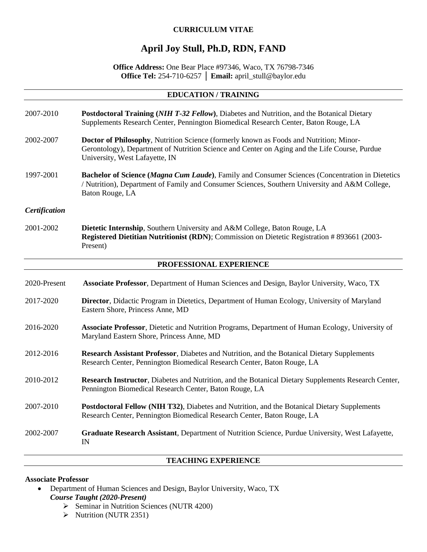# **CURRICULUM VITAE**

# **April Joy Stull, Ph.D, RDN, FAND**

## **Office Address:** One Bear Place #97346, Waco, TX 76798-7346 **Office Tel:** 254-710-6257 │ **Email:** april\_stull@baylor.edu

### **EDUCATION / TRAINING**

- 2007-2010 **Postdoctoral Training (***NIH T-32 Fellow***)**, Diabetes and Nutrition, and the Botanical Dietary Supplements Research Center, Pennington Biomedical Research Center, Baton Rouge, LA
- 2002-2007 **Doctor of Philosophy**, Nutrition Science (formerly known as Foods and Nutrition; Minor-Gerontology), Department of Nutrition Science and Center on Aging and the Life Course, Purdue University, West Lafayette, IN
- 1997-2001 **Bachelor of Science (***Magna Cum Laude***)**, Family and Consumer Sciences (Concentration in Dietetics / Nutrition), Department of Family and Consumer Sciences, Southern University and A&M College, Baton Rouge, LA

### *Certification*

2001-2002 **Dietetic Internship**, Southern University and A&M College, Baton Rouge, LA **Registered Dietitian Nutritionist (RDN)**; Commission on Dietetic Registration # 893661 (2003- Present)

### **PROFESSIONAL EXPERIENCE**

- 2020-Present **Associate Professor**, Department of Human Sciences and Design, Baylor University, Waco, TX
- 2017-2020 **Director**, Didactic Program in Dietetics, Department of Human Ecology, University of Maryland Eastern Shore, Princess Anne, MD
- 2016-2020 **Associate Professor**, Dietetic and Nutrition Programs, Department of Human Ecology, University of Maryland Eastern Shore, Princess Anne, MD
- 2012-2016 **Research Assistant Professor**, Diabetes and Nutrition, and the Botanical Dietary Supplements Research Center, Pennington Biomedical Research Center, Baton Rouge, LA
- 2010-2012 **Research Instructor**, Diabetes and Nutrition, and the Botanical Dietary Supplements Research Center, Pennington Biomedical Research Center, Baton Rouge, LA
- 2007-2010 **Postdoctoral Fellow (NIH T32)**, Diabetes and Nutrition, and the Botanical Dietary Supplements Research Center, Pennington Biomedical Research Center, Baton Rouge, LA
- 2002-2007 **Graduate Research Assistant**, Department of Nutrition Science, Purdue University, West Lafayette, IN

### **TEACHING EXPERIENCE**

### **Associate Professor**

- Department of Human Sciences and Design, Baylor University, Waco, TX *Course Taught (2020-Present)*
	- ➢ Seminar in Nutrition Sciences (NUTR 4200)
	- ➢ Nutrition (NUTR 2351)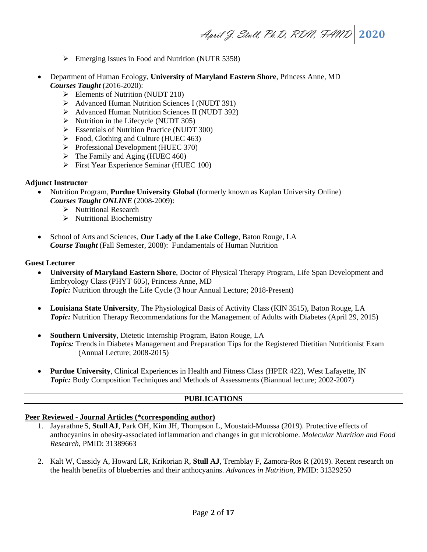- ➢ Emerging Issues in Food and Nutrition (NUTR 5358)
- Department of Human Ecology, **University of Maryland Eastern Shore**, Princess Anne, MD *Courses Taught* (2016-2020):
	- $\triangleright$  Elements of Nutrition (NUDT 210)
	- ➢ Advanced Human Nutrition Sciences I (NUDT 391)
	- ➢ Advanced Human Nutrition Sciences II (NUDT 392)
	- ➢ Nutrition in the Lifecycle (NUDT 305)
	- ➢ Essentials of Nutrition Practice (NUDT 300)
	- $\triangleright$  Food, Clothing and Culture (HUEC 463)
	- ➢ Professional Development (HUEC 370)
	- $\triangleright$  The Family and Aging (HUEC 460)
	- ➢ First Year Experience Seminar (HUEC 100)

### **Adjunct Instructor**

- Nutrition Program, **Purdue University Global** (formerly known as Kaplan University Online) *Courses Taught ONLINE* (2008-2009):
	- ➢ Nutritional Research
	- ➢ Nutritional Biochemistry
- School of Arts and Sciences, **Our Lady of the Lake College**, Baton Rouge, LA *Course Taught* (Fall Semester, 2008): Fundamentals of Human Nutrition

### **Guest Lecturer**

- **University of Maryland Eastern Shore**, Doctor of Physical Therapy Program, Life Span Development and Embryology Class (PHYT 605), Princess Anne, MD *Topic:* Nutrition through the Life Cycle (3 hour Annual Lecture; 2018-Present)
- **Louisiana State University**, The Physiological Basis of Activity Class (KIN 3515), Baton Rouge, LA *Topic:* Nutrition Therapy Recommendations for the Management of Adults with Diabetes (April 29, 2015)
- **Southern University**, Dietetic Internship Program, Baton Rouge, LA *Topics:* Trends in Diabetes Management and Preparation Tips for the Registered Dietitian Nutritionist Exam (Annual Lecture; 2008-2015)
- **Purdue University**, Clinical Experiences in Health and Fitness Class (HPER 422), West Lafayette, IN *Topic:* Body Composition Techniques and Methods of Assessments (Biannual lecture; 2002-2007)

# **PUBLICATIONS**

### **Peer Reviewed - Journal Articles (\*corresponding author)**

- 1. Jayarathne S, **Stull AJ**, Park OH, Kim JH, Thompson L, Moustaid-Moussa (2019). Protective effects of anthocyanins in obesity-associated inflammation and changes in gut microbiome. *Molecular Nutrition and Food Research*, PMID: 31389663
- 2. Kalt W, Cassidy A, Howard LR, Krikorian R, **Stull AJ**, Tremblay F, Zamora-Ros R (2019). Recent research on the health benefits of blueberries and their anthocyanins. *Advances in Nutrition*, PMID: 31329250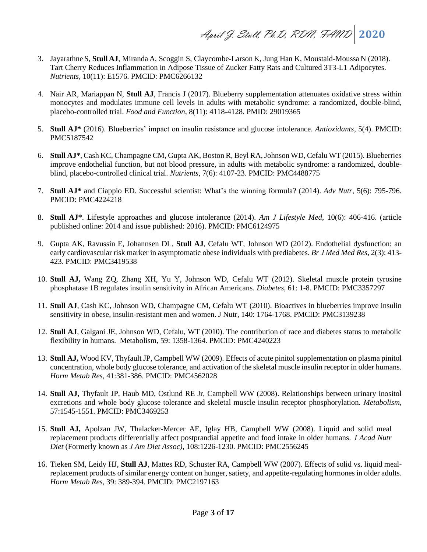- 3. Jayarathne S, **Stull AJ**, Miranda A, Scoggin S, Claycombe-Larson K, Jung Han K, Moustaid-Moussa N (2018). Tart Cherry Reduces Inflammation in Adipose Tissue of Zucker Fatty Rats and Cultured 3T3-L1 Adipocytes. *Nutrients,* 10(11): E1576. PMCID: PMC6266132
- 4. Nair AR, Mariappan N, **Stull AJ**, Francis J (2017). [Blueberry supplementation attenuates oxidative stress within](https://www.ncbi.nlm.nih.gov/pubmed/29019365)  [monocytes and modulates immune cell levels in adults with metabolic syndrome: a randomized, double-blind,](https://www.ncbi.nlm.nih.gov/pubmed/29019365)  [placebo-controlled trial.](https://www.ncbi.nlm.nih.gov/pubmed/29019365) *Food and Function*, 8(11): 4118-4128. PMID: 29019365
- 5. **Stull AJ\*** (2016). Blueberries' impact on insulin resistance and glucose intolerance. *Antioxidants*, 5(4). PMCID: PMC5187542
- 6. **Stull AJ\***, Cash KC, Champagne CM, Gupta AK, Boston R, Beyl RA, Johnson WD, Cefalu WT (2015). Blueberries improve endothelial function, but not blood pressure, in adults with metabolic syndrome: a randomized, doubleblind, placebo-controlled clinical trial. *Nutrients*, 7(6): 4107-23. PMCID: PMC4488775
- 7. **Stull AJ\*** and Ciappio ED. Successful scientist: What's the winning formula? (2014). *Adv Nutr*, 5(6): 795-796*.*  PMCID: PMC4224218
- 8. **Stull AJ\***. Lifestyle approaches and glucose intolerance (2014). *Am J Lifestyle Med*, 10(6): 406-416. (article published online: 2014 and issue published: 2016). PMCID: PMC6124975
- 9. Gupta AK, Ravussin E, Johannsen DL, **Stull AJ**, Cefalu WT, Johnson WD (2012). Endothelial dysfunction: an early cardiovascular risk marker in asymptomatic obese individuals with prediabetes. *Br J Med Med Res*, 2(3): 413- 423. PMCID: PMC3419538
- 10. **Stull AJ,** Wang ZQ, Zhang XH, Yu Y, Johnson WD, Cefalu WT (2012). Skeletal muscle protein tyrosine phosphatase 1B regulates insulin sensitivity in African Americans. *Diabetes*, 61: 1-8. PMCID: PMC3357297
- 11. **Stull AJ**, Cash KC, Johnson WD, Champagne CM, Cefalu WT (2010). Bioactives in blueberries improve insulin sensitivity in obese, insulin-resistant men and women. J Nutr, 140: 1764-1768. PMCID: PMC3139238
- 12. **Stull AJ**, Galgani JE, Johnson WD, Cefalu, WT (2010). The contribution of race and diabetes status to metabolic flexibility in humans. Metabolism, 59: 1358-1364. PMCID: PMC4240223
- 13. **Stull AJ,** Wood KV, Thyfault JP, Campbell WW (2009). Effects of acute pinitol supplementation on plasma pinitol concentration, whole body glucose tolerance, and activation of the skeletal muscle insulin receptor in older humans. *Horm Metab Res*, 41:381-386. PMCID: PMC4562028
- 14. **Stull AJ,** Thyfault JP, Haub MD, Ostlund RE Jr, Campbell WW (2008). Relationships between urinary inositol excretions and whole body glucose tolerance and skeletal muscle insulin receptor phosphorylation. *Metabolism*, 57:1545-1551. PMCID: PMC3469253
- 15. **Stull AJ,** Apolzan JW, Thalacker-Mercer AE, Iglay HB, Campbell WW (2008). Liquid and solid meal replacement products differentially affect postprandial appetite and food intake in older humans. *J Acad Nutr Diet* (Formerly known as *J Am Diet Assoc),* 108:1226-1230. PMCID: PMC2556245
- 16. Tieken SM, Leidy HJ, **Stull AJ**, Mattes RD, Schuster RA, Campbell WW (2007). Effects of solid vs. liquid mealreplacement products of similar energy content on hunger, satiety, and appetite-regulating hormones in older adults. *Horm Metab Res*, 39: 389-394. PMCID: PMC2197163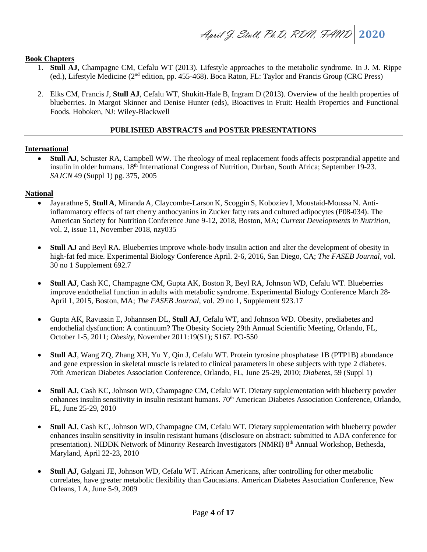### **Book Chapters**

- 1. **Stull AJ**, Champagne CM, Cefalu WT (2013). Lifestyle approaches to the metabolic syndrome. In J. M. Rippe (ed.), Lifestyle Medicine (2<sup>nd</sup> edition, pp. 455-468). Boca Raton, FL: Taylor and Francis Group (CRC Press)
- 2. Elks CM, Francis J, **Stull AJ**, Cefalu WT, Shukitt-Hale B, Ingram D (2013). Overview of the health properties of blueberries. In Margot Skinner and Denise Hunter (eds), Bioactives in Fruit: Health Properties and Functional Foods. Hoboken, NJ: Wiley-Blackwell

# **PUBLISHED ABSTRACTS and POSTER PRESENTATIONS**

### **International**

• **Stull AJ**, Schuster RA, Campbell WW. The rheology of meal replacement foods affects postprandial appetite and insulin in older humans.  $18<sup>th</sup>$  International Congress of Nutrition, Durban, South Africa; September 19-23. *SAJCN* 49 (Suppl 1) pg. 375, 2005

### **National**

- Jayarathne S, **Stull A**, Miranda A, Claycombe-Larson K, Scoggin S, Koboziev I, Moustaid-Moussa N. Antiinflammatory effects of tart cherry anthocyanins in Zucker fatty rats and cultured adipocytes (P08-034). The American Society for Nutrition Conference June 9-12, 2018, Boston, MA; *Current Developments in Nutrition*, vol. 2, issue 11, November 2018, nzy035
- **Stull AJ** and Beyl RA. Blueberries improve whole-body insulin action and alter the development of obesity in high-fat fed mice. Experimental Biology Conference April. 2-6, 2016, San Diego, CA; *The FASEB Journal,* vol. 30 no 1 Supplement 692.7
- **Stull AJ**, Cash KC, Champagne CM, Gupta AK, Boston R, Beyl RA, Johnson WD, Cefalu WT. Blueberries improve endothelial function in adults with metabolic syndrome. Experimental Biology Conference March 28- April 1, 2015, Boston, MA; *The FASEB Journal*, vol. 29 no 1, Supplement 923.17
- Gupta AK, Ravussin E, Johannsen DL, **Stull AJ**, Cefalu WT, and Johnson WD. Obesity, prediabetes and endothelial dysfunction: A continuum? The Obesity Society 29th Annual Scientific Meeting, Orlando, FL, October 1-5, 2011; *Obesity*, November 2011:19(S1); S167. PO-550
- **Stull AJ**, Wang ZQ, Zhang XH, Yu Y, Qin J, Cefalu WT. Protein tyrosine phosphatase 1B (PTP1B) abundance and gene expression in skeletal muscle is related to clinical parameters in obese subjects with type 2 diabetes. 70th American Diabetes Association Conference, Orlando, FL, June 25-29, 2010; *Diabetes*, 59 (Suppl 1)
- **Stull AJ**, Cash KC, Johnson WD, Champagne CM, Cefalu WT. Dietary supplementation with blueberry powder enhances insulin sensitivity in insulin resistant humans. 70<sup>th</sup> American Diabetes Association Conference, Orlando, FL, June 25-29, 2010
- **Stull AJ**, Cash KC, Johnson WD, Champagne CM, Cefalu WT. Dietary supplementation with blueberry powder enhances insulin sensitivity in insulin resistant humans (disclosure on abstract: submitted to ADA conference for presentation). NIDDK Network of Minority Research Investigators (NMRI) 8<sup>th</sup> Annual Workshop, Bethesda, Maryland, April 22-23, 2010
- **Stull AJ**, Galgani JE, Johnson WD, Cefalu WT. African Americans, after controlling for other metabolic correlates, have greater metabolic flexibility than Caucasians. American Diabetes Association Conference, New Orleans, LA, June 5-9, 2009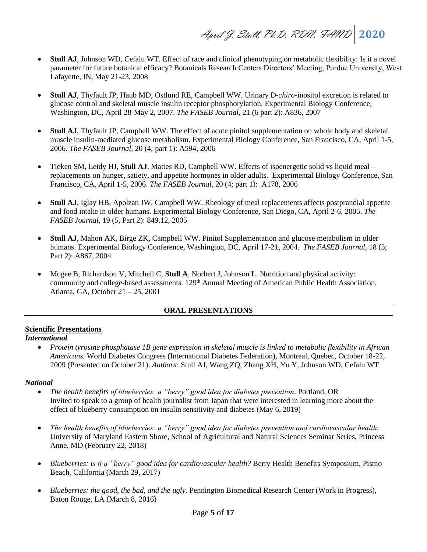- **Stull AJ**, Johnson WD, Cefalu WT. Effect of race and clinical phenotyping on metabolic flexibility: Is it a novel parameter for future botanical efficacy? Botanicals Research Centers Directors' Meeting, Purdue University, West Lafayette, IN, May 21-23, 2008
- **Stull AJ**, Thyfault JP, Haub MD, Ostlund RE, Campbell WW. Urinary D-*chiro*-inositol excretion is related to glucose control and skeletal muscle insulin receptor phosphorylation. Experimental Biology Conference, Washington, DC, April 28-May 2, 2007. *The FASEB Journal*, 21 (6 part 2): A836, 2007
- **Stull AJ**, Thyfault JP, Campbell WW. The effect of acute pinitol supplementation on whole body and skeletal muscle insulin-mediated glucose metabolism. Experimental Biology Conference, San Francisco, CA, April 1-5, 2006. *The FASEB Journal,* 20 (4; part 1): A594, 2006
- Tieken SM, Leidy HJ, **Stull AJ**, Mattes RD, Campbell WW. Effects of isoenergetic solid vs liquid meal replacements on hunger, satiety, and appetite hormones in older adults. Experimental Biology Conference, San Francisco, CA, April 1-5, 2006. *The FASEB Journal,* 20 (4; part 1): A178, 2006
- **Stull AJ**, Iglay HB, Apolzan JW, Campbell WW. Rheology of meal replacements affects postprandial appetite and food intake in older humans. Experimental Biology Conference, San Diego, CA, April 2-6, 2005. *The FASEB Journal*, 19 (5, Part 2): 849.12, 2005
- **Stull AJ**, Mahon AK, Birge ZK, Campbell WW. Pinitol Supplementation and glucose metabolism in older humans. Experimental Biology Conference, Washington, DC, April 17-21, 2004. *The FASEB Journal,* 18 (5; Part 2): A867, 2004
- Mcgee B, Richardson V, Mitchell C, **Stull A**, Norbert J, Johnson L. Nutrition and physical activity: community and college-based assessments. 129<sup>th</sup> Annual Meeting of American Public Health Association, Atlanta, GA, October 21 – 25, 2001

### **ORAL PRESENTATIONS**

### **Scientific Presentations**

### *International*

• *Protein tyrosine phosphatase 1B gene expression in skeletal muscle is linked to metabolic flexibility in African Americans.* World Diabetes Congress (International Diabetes Federation), Montreal, Quebec, October 18-22, 2009 (Presented on October 21). *Authors:* Stull AJ, Wang ZQ, Zhang XH, Yu Y, Johnson WD, Cefalu WT

### *National*

- *The health benefits of blueberries: a "berry" good idea for diabetes prevention*. Portland, OR Invited to speak to a group of health journalist from Japan that were interested in learning more about the effect of blueberry consumption on insulin sensitivity and diabetes (May 6, 2019)
- *The health benefits of blueberries: a "berry" good idea for diabetes prevention and cardiovascular health.* University of Maryland Eastern Shore, School of Agricultural and Natural Sciences Seminar Series, Princess Anne, MD (February 22, 2018)
- *Blueberries: is it a "berry" good idea for cardiovascular health?* Berry Health Benefits Symposium, Pismo Beach, California (March 29, 2017)
- *Blueberries: the good, the bad, and the ugly*. Pennington Biomedical Research Center (Work in Progress), Baton Rouge, LA (March 8, 2016)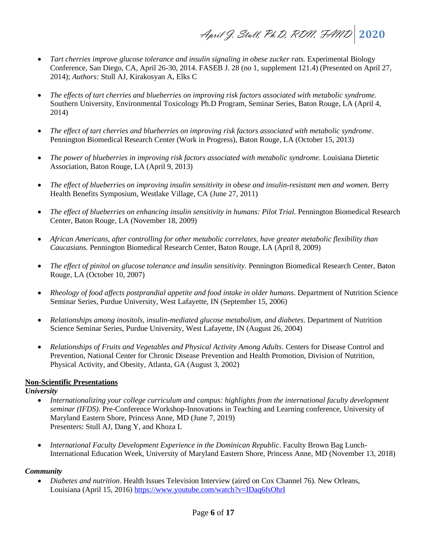- *Tart cherries improve glucose tolerance and insulin signaling in obese zucker rats.* Experimental Biology Conference, San Diego, CA, April 26-30, 2014. FASEB J. 28 (no 1, supplement 121.4) (Presented on April 27, 2014); *Authors:* Stull AJ, Kirakosyan A, Elks C
- *The effects of tart cherries and blueberries on improving risk factors associated with metabolic syndrome.* Southern University, Environmental Toxicology Ph.D Program, Seminar Series, Baton Rouge, LA (April 4, 2014)
- *The effect of tart cherries and blueberries on improving risk factors associated with metabolic syndrome*. Pennington Biomedical Research Center (Work in Progress), Baton Rouge, LA (October 15, 2013)
- *The power of blueberries in improving risk factors associated with metabolic syndrome.* Louisiana Dietetic Association, Baton Rouge, LA (April 9, 2013)
- *The effect of blueberries on improving insulin sensitivity in obese and insulin-resistant men and women.* Berry Health Benefits Symposium, Westlake Village, CA (June 27, 2011)
- *The effect of blueberries on enhancing insulin sensitivity in humans: Pilot Trial.* Pennington Biomedical Research Center, Baton Rouge, LA (November 18, 2009)
- *African Americans, after controlling for other metabolic correlates, have greater metabolic flexibility than Caucasians.* Pennington Biomedical Research Center, Baton Rouge, LA (April 8, 2009)
- *The effect of pinitol on glucose tolerance and insulin sensitivity.* Pennington Biomedical Research Center, Baton Rouge, LA (October 10, 2007)
- *Rheology of food affects postprandial appetite and food intake in older humans*. Department of Nutrition Science Seminar Series, Purdue University, West Lafayette, IN (September 15, 2006)
- *Relationships among inositols, insulin-mediated glucose metabolism, and diabetes*. Department of Nutrition Science Seminar Series, Purdue University, West Lafayette, IN (August 26, 2004)
- *Relationships of Fruits and Vegetables and Physical Activity Among Adults*. Centers for Disease Control and Prevention, National Center for Chronic Disease Prevention and Health Promotion, Division of Nutrition, Physical Activity, and Obesity, Atlanta, GA (August 3, 2002)

### **Non-Scientific Presentations**

*University*

- *Internationalizing your college curriculum and campus: highlights from the international faculty development seminar (IFDS)*. Pre-Conference Workshop-Innovations in Teaching and Learning conference, University of Maryland Eastern Shore, Princess Anne, MD (June 7, 2019) Presenters: Stull AJ, Dang Y, and Khoza L
- *International Faculty Development Experience in the Dominican Republic*. Faculty Brown Bag Lunch-International Education Week, University of Maryland Eastern Shore, Princess Anne, MD (November 13, 2018)

### *Community*

• *Diabetes and nutrition*. Health Issues Television Interview (aired on Cox Channel 76). New Orleans, Louisiana (April 15, 2016[\) https://www.youtube.com/watch?v=IDaq6fsOhrI](https://www.youtube.com/watch?v=IDaq6fsOhrI)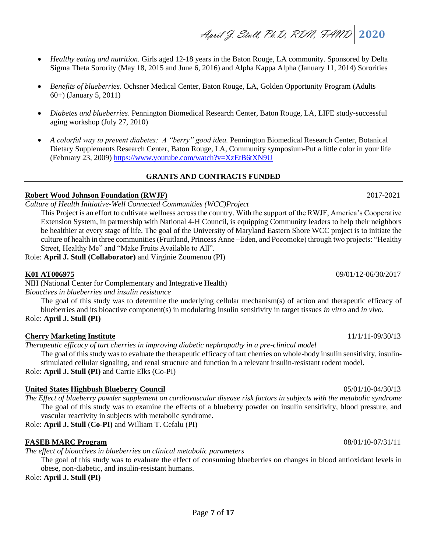- *Healthy eating and nutrition*. Girls aged 12-18 years in the Baton Rouge, LA community. Sponsored by Delta Sigma Theta Sorority (May 18, 2015 and June 6, 2016) and Alpha Kappa Alpha (January 11, 2014) Sororities
- *Benefits of blueberries*. Ochsner Medical Center, Baton Rouge, LA, Golden Opportunity Program (Adults 60+) (January 5, 2011)
- *Diabetes and blueberries*. Pennington Biomedical Research Center, Baton Rouge, LA, LIFE study-successful aging workshop (July 27, 2010)
- *A colorful way to prevent diabetes: A "berry" good idea.* Pennington Biomedical Research Center, Botanical Dietary Supplements Research Center, Baton Rouge, LA, Community symposium-Put a little color in your life (February 23, 2009) <https://www.youtube.com/watch?v=XzEtB6tXN9U>

# **GRANTS AND CONTRACTS FUNDED**

# **Robert Wood Johnson Foundation (RWJF)** 2017-2021

*Culture of Health Initiative-Well Connected Communities (WCC)Project*

This Project is an effort to cultivate wellness across the country. With the support of the RWJF, America's Cooperative Extension System, in partnership with National 4-H Council, is equipping Community leaders to help their neighbors be healthier at every stage of life. The goal of the University of Maryland Eastern Shore WCC project is to initiate the culture of health in three communities (Fruitland, Princess Anne –Eden, and Pocomoke) through two projects: "Healthy Street, Healthy Me" and "Make Fruits Available to All".

Role: **April J. Stull (Collaborator)** and Virginie Zoumenou (PI)

NIH (National Center for Complementary and Integrative Health)

*Bioactives in blueberries and insulin resistance*

The goal of this study was to determine the underlying cellular mechanism(s) of action and therapeutic efficacy of blueberries and its bioactive component(s) in modulating insulin sensitivity in target tissues *in vitro* and *in vivo*.

Role: **April J. Stull (PI)**

# **Cherry Marketing Institute** 11/1/11-09/30/13

*Therapeutic efficacy of tart cherries in improving diabetic nephropathy in a pre-clinical model*

The goal of this study was to evaluate the therapeutic efficacy of tart cherries on whole-body insulin sensitivity, insulinstimulated cellular signaling, and renal structure and function in a relevant insulin-resistant rodent model. Role: **April J. Stull (PI)** and Carrie Elks (Co-PI)

# **United States Highbush Blueberry Council** 05/01/10-04/30/13

*The Effect of blueberry powder supplement on cardiovascular disease risk factors in subjects with the metabolic syndrome* The goal of this study was to examine the effects of a blueberry powder on insulin sensitivity, blood pressure, and vascular reactivity in subjects with metabolic syndrome.

Role: **April J. Stull** (**Co-PI)** and William T. Cefalu (PI)

# **FASEB MARC Program** 08/01/10-07/31/11

*The effect of bioactives in blueberries on clinical metabolic parameters*

The goal of this study was to evaluate the effect of consuming blueberries on changes in blood antioxidant levels in obese, non-diabetic, and insulin-resistant humans.

Role: **April J. Stull (PI)**

**K01 AT006975** 09/01/12-06/30/2017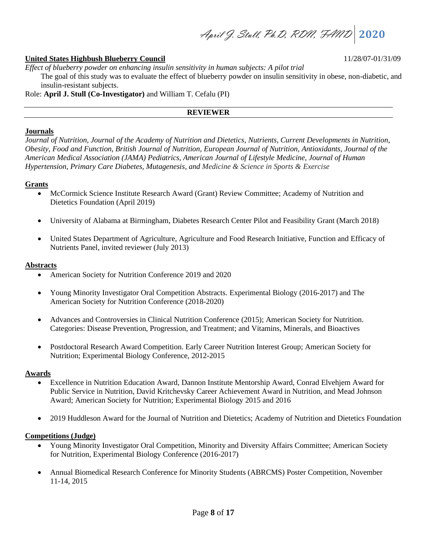April J. Stull, Ph.D, RDN, FAND **2020**

### **United States Highbush Blueberry Council** 11/28/07-01/31/09

*Effect of blueberry powder on enhancing insulin sensitivity in human subjects: A pilot trial* The goal of this study was to evaluate the effect of blueberry powder on insulin sensitivity in obese, non-diabetic, and insulin-resistant subjects.

Role: **April J. Stull (Co-Investigator)** and William T. Cefalu (PI)

### **REVIEWER**

### **Journals**

*Journal of Nutrition, Journal of the Academy of Nutrition and Dietetics, Nutrients, Current Developments in Nutrition, Obesity, Food and Function, British Journal of Nutrition, European Journal of Nutrition, Antioxidants, Journal of the American Medical Association (JAMA) Pediatrics, American Journal of Lifestyle Medicine, Journal of Human Hypertension, Primary Care Diabetes, Mutagenesis, and Medicine & Science in Sports & Exercise*

### **Grants**

- McCormick Science Institute Research Award (Grant) Review Committee; Academy of Nutrition and Dietetics Foundation (April 2019)
- University of Alabama at Birmingham, Diabetes Research Center Pilot and Feasibility Grant (March 2018)
- United States Department of Agriculture, Agriculture and Food Research Initiative, Function and Efficacy of Nutrients Panel, invited reviewer (July 2013)

### **Abstracts**

- American Society for Nutrition Conference 2019 and 2020
- Young Minority Investigator Oral Competition Abstracts. Experimental Biology (2016-2017) and The American Society for Nutrition Conference (2018-2020)
- Advances and Controversies in Clinical Nutrition Conference (2015); American Society for Nutrition. Categories: Disease Prevention, Progression, and Treatment; and Vitamins, Minerals, and Bioactives
- Postdoctoral Research Award Competition. Early Career Nutrition Interest Group; American Society for Nutrition; Experimental Biology Conference, 2012-2015

### **Awards**

- Excellence in Nutrition Education Award, Dannon Institute Mentorship Award, Conrad Elvehjem Award for Public Service in Nutrition, David Kritchevsky Career Achievement Award in Nutrition, and Mead Johnson Award; American Society for Nutrition; Experimental Biology 2015 and 2016
- 2019 Huddleson Award for the Journal of Nutrition and Dietetics; Academy of Nutrition and Dietetics Foundation

### **Competitions (Judge)**

- Young Minority Investigator Oral Competition, Minority and Diversity Affairs Committee; American Society for Nutrition, Experimental Biology Conference (2016-2017)
- Annual Biomedical Research Conference for Minority Students (ABRCMS) Poster Competition, November 11-14, 2015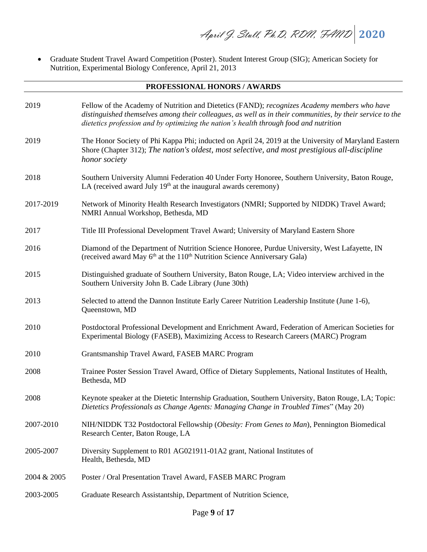• Graduate Student Travel Award Competition (Poster). Student Interest Group (SIG); American Society for Nutrition, Experimental Biology Conference, April 21, 2013

### **PROFESSIONAL HONORS / AWARDS**

| 2019        | Fellow of the Academy of Nutrition and Dietetics (FAND); recognizes Academy members who have<br>distinguished themselves among their colleagues, as well as in their communities, by their service to the<br>dietetics profession and by optimizing the nation's health through food and nutrition |
|-------------|----------------------------------------------------------------------------------------------------------------------------------------------------------------------------------------------------------------------------------------------------------------------------------------------------|
| 2019        | The Honor Society of Phi Kappa Phi; inducted on April 24, 2019 at the University of Maryland Eastern<br>Shore (Chapter 312); The nation's oldest, most selective, and most prestigious all-discipline<br>honor society                                                                             |
| 2018        | Southern University Alumni Federation 40 Under Forty Honoree, Southern University, Baton Rouge,<br>LA (received award July $19th$ at the inaugural awards ceremony)                                                                                                                                |
| 2017-2019   | Network of Minority Health Research Investigators (NMRI; Supported by NIDDK) Travel Award;<br>NMRI Annual Workshop, Bethesda, MD                                                                                                                                                                   |
| 2017        | Title III Professional Development Travel Award; University of Maryland Eastern Shore                                                                                                                                                                                                              |
| 2016        | Diamond of the Department of Nutrition Science Honoree, Purdue University, West Lafayette, IN<br>(received award May 6 <sup>th</sup> at the 110 <sup>th</sup> Nutrition Science Anniversary Gala)                                                                                                  |
| 2015        | Distinguished graduate of Southern University, Baton Rouge, LA; Video interview archived in the<br>Southern University John B. Cade Library (June 30th)                                                                                                                                            |
| 2013        | Selected to attend the Dannon Institute Early Career Nutrition Leadership Institute (June 1-6),<br>Queenstown, MD                                                                                                                                                                                  |
| 2010        | Postdoctoral Professional Development and Enrichment Award, Federation of American Societies for<br>Experimental Biology (FASEB), Maximizing Access to Research Careers (MARC) Program                                                                                                             |
| 2010        | Grantsmanship Travel Award, FASEB MARC Program                                                                                                                                                                                                                                                     |
| 2008        | Trainee Poster Session Travel Award, Office of Dietary Supplements, National Institutes of Health,<br>Bethesda, MD                                                                                                                                                                                 |
| 2008        | Keynote speaker at the Dietetic Internship Graduation, Southern University, Baton Rouge, LA; Topic:<br>Dietetics Professionals as Change Agents: Managing Change in Troubled Times" (May 20)                                                                                                       |
| 2007-2010   | NIH/NIDDK T32 Postdoctoral Fellowship (Obesity: From Genes to Man), Pennington Biomedical<br>Research Center, Baton Rouge, LA                                                                                                                                                                      |
| 2005-2007   | Diversity Supplement to R01 AG021911-01A2 grant, National Institutes of<br>Health, Bethesda, MD                                                                                                                                                                                                    |
| 2004 & 2005 | Poster / Oral Presentation Travel Award, FASEB MARC Program                                                                                                                                                                                                                                        |
| 2003-2005   | Graduate Research Assistantship, Department of Nutrition Science,                                                                                                                                                                                                                                  |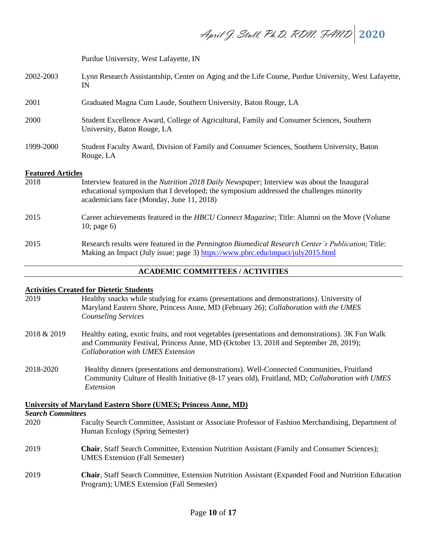April J. Stull, Ph.D, RDN, FAND **2020**

Purdue University, West Lafayette, IN

- 2002-2003 Lynn Research Assistantship, Center on Aging and the Life Course, Purdue University, West Lafayette, IN
- 2001 Graduated Magna Cum Laude, Southern University, Baton Rouge, LA
- 2000 Student Excellence Award, College of Agricultural, Family and Consumer Sciences, Southern University, Baton Rouge, LA
- 1999-2000 Student Faculty Award, Division of Family and Consumer Sciences, Southern University, Baton Rouge, LA

### **Featured Articles**

2018 Interview featured in the *Nutrition 2018 Daily Newspaper*; Interview was about the Inaugural educational symposium that I developed; the symposium addressed the challenges minority academicians face (Monday, June 11, 2018) 2015 Career achievements featured in the *HBCU Connect Magazine*; Title: Alumni on the Move (Volume 10; page 6) 2015 Research results were featured in the *Pennington Biomedical Research Center's Publication*; Title: Making an Impact (July issue; page 3) <https://www.pbrc.edu/impact/july2015.html>

### **ACADEMIC COMMITTEES / ACTIVITIES**

# **Activities Created for Dietetic Students**

- 2019 Healthy snacks while studying for exams (presentations and demonstrations). University of Maryland Eastern Shore, Princess Anne, MD (February 26); *Collaboration with the UMES Counseling Services*
- 2018 & 2019 Healthy eating, exotic fruits, and root vegetables (presentations and demonstrations). 3K Fun Walk and Community Festival, Princess Anne, MD (October 13, 2018 and September 28, 2019); *Collaboration with UMES Extension*
- 2018-2020 Healthy dinners (presentations and demonstrations). Well-Connected Communities, Fruitland Community Culture of Health Initiative (8-17 years old), Fruitland, MD; *Collaboration with UMES Extension*

| University of Maryland Eastern Shore (UMES; Princess Anne, MD) |                                                                                                                                                        |  |
|----------------------------------------------------------------|--------------------------------------------------------------------------------------------------------------------------------------------------------|--|
| <b>Search Committees</b>                                       |                                                                                                                                                        |  |
| 2020                                                           | Faculty Search Committee, Assistant or Associate Professor of Fashion Merchandising, Department of<br>Human Ecology (Spring Semester)                  |  |
| 2019                                                           | <b>Chair, Staff Search Committee, Extension Nutrition Assistant (Family and Consumer Sciences);</b><br><b>UMES</b> Extension (Fall Semester)           |  |
| 2019                                                           | <b>Chair, Staff Search Committee, Extension Nutrition Assistant (Expanded Food and Nutrition Education</b><br>Program); UMES Extension (Fall Semester) |  |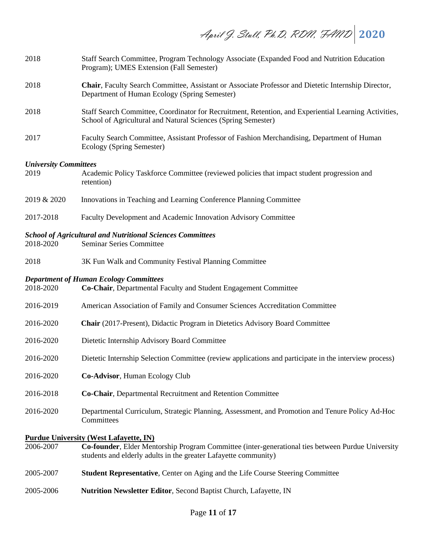April J. Stull, Ph.D, RDN, FAND **2020**

| 2018                                 | Staff Search Committee, Program Technology Associate (Expanded Food and Nutrition Education<br>Program); UMES Extension (Fall Semester)                                                                               |
|--------------------------------------|-----------------------------------------------------------------------------------------------------------------------------------------------------------------------------------------------------------------------|
| 2018                                 | Chair, Faculty Search Committee, Assistant or Associate Professor and Dietetic Internship Director,<br>Department of Human Ecology (Spring Semester)                                                                  |
| 2018                                 | Staff Search Committee, Coordinator for Recruitment, Retention, and Experiential Learning Activities,<br>School of Agricultural and Natural Sciences (Spring Semester)                                                |
| 2017                                 | Faculty Search Committee, Assistant Professor of Fashion Merchandising, Department of Human<br>Ecology (Spring Semester)                                                                                              |
| <b>University Committees</b><br>2019 | Academic Policy Taskforce Committee (reviewed policies that impact student progression and<br>retention)                                                                                                              |
| 2019 & 2020                          | Innovations in Teaching and Learning Conference Planning Committee                                                                                                                                                    |
| 2017-2018                            | Faculty Development and Academic Innovation Advisory Committee                                                                                                                                                        |
| 2018-2020                            | <b>School of Agricultural and Nutritional Sciences Committees</b><br><b>Seminar Series Committee</b>                                                                                                                  |
| 2018                                 | 3K Fun Walk and Community Festival Planning Committee                                                                                                                                                                 |
| 2018-2020                            | <b>Department of Human Ecology Committees</b><br>Co-Chair, Departmental Faculty and Student Engagement Committee                                                                                                      |
| 2016-2019                            | American Association of Family and Consumer Sciences Accreditation Committee                                                                                                                                          |
| 2016-2020                            | Chair (2017-Present), Didactic Program in Dietetics Advisory Board Committee                                                                                                                                          |
| 2016-2020                            | Dietetic Internship Advisory Board Committee                                                                                                                                                                          |
| 2016-2020                            | Dietetic Internship Selection Committee (review applications and participate in the interview process)                                                                                                                |
| 2016-2020                            | Co-Advisor, Human Ecology Club                                                                                                                                                                                        |
| 2016-2018                            | Co-Chair, Departmental Recruitment and Retention Committee                                                                                                                                                            |
| 2016-2020                            | Departmental Curriculum, Strategic Planning, Assessment, and Promotion and Tenure Policy Ad-Hoc<br>Committees                                                                                                         |
| 2006-2007                            | <b>Purdue University (West Lafayette, IN)</b><br>Co-founder, Elder Mentorship Program Committee (inter-generational ties between Purdue University<br>students and elderly adults in the greater Lafayette community) |
| 2005-2007                            | <b>Student Representative, Center on Aging and the Life Course Steering Committee</b>                                                                                                                                 |
| 2005-2006                            | Nutrition Newsletter Editor, Second Baptist Church, Lafayette, IN                                                                                                                                                     |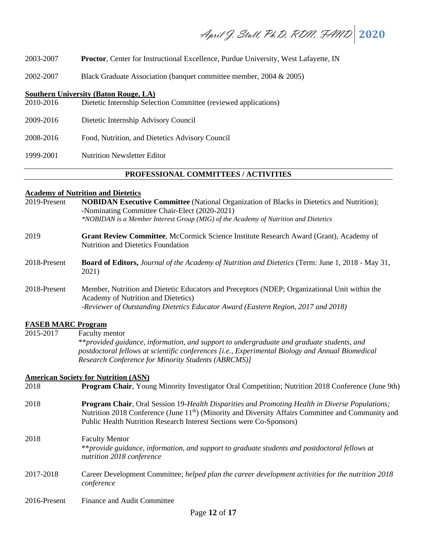April J. Stull, Ph.D, RDN, FAND **2020**

2003-2007 **Proctor**, Center for Instructional Excellence, Purdue University, West Lafayette, IN

2002-2007 Black Graduate Association (banquet committee member, 2004 & 2005)

### **Southern University (Baton Rouge, LA)**

- 2010-2016 Dietetic Internship Selection Committee (reviewed applications)
- 2009-2016 Dietetic Internship Advisory Council
- 2008-2016 Food, Nutrition, and Dietetics Advisory Council

1999-2001 Nutrition Newsletter Editor

### **PROFESSIONAL COMMITTEES / ACTIVITIES**

# **Academy of Nutrition and Dietetics**

| 2019-Present              | <b>NOBIDAN Executive Committee</b> (National Organization of Blacks in Dietetics and Nutrition);<br>-Nominating Committee Chair-Elect (2020-2021)                                                                                                                                        |
|---------------------------|------------------------------------------------------------------------------------------------------------------------------------------------------------------------------------------------------------------------------------------------------------------------------------------|
|                           | *NOBIDAN is a Member Interest Group (MIG) of the Academy of Nutrition and Dietetics                                                                                                                                                                                                      |
| 2019                      | Grant Review Committee, McCormick Science Institute Research Award (Grant), Academy of<br><b>Nutrition and Dietetics Foundation</b>                                                                                                                                                      |
| 2018-Present              | Board of Editors, Journal of the Academy of Nutrition and Dietetics (Term: June 1, 2018 - May 31,<br>2021)                                                                                                                                                                               |
| 2018-Present              | Member, Nutrition and Dietetic Educators and Preceptors (NDEP; Organizational Unit within the<br>Academy of Nutrition and Dietetics)                                                                                                                                                     |
|                           | -Reviewer of Outstanding Dietetics Educator Award (Eastern Region, 2017 and 2018)                                                                                                                                                                                                        |
| <b>FASEB MARC Program</b> |                                                                                                                                                                                                                                                                                          |
| 2015-2017                 | Faculty mentor                                                                                                                                                                                                                                                                           |
|                           | **provided guidance, information, and support to undergraduate and graduate students, and<br>postdoctoral fellows at scientific conferences [i.e., Experimental Biology and Annual Biomedical<br><b>Research Conference for Minority Students (ABRCMS)]</b>                              |
|                           | <b>American Society for Nutrition (ASN)</b>                                                                                                                                                                                                                                              |
| 2018                      | Program Chair, Young Minority Investigator Oral Competition; Nutrition 2018 Conference (June 9th)                                                                                                                                                                                        |
| 2018                      | Program Chair, Oral Session 19-Health Disparities and Promoting Health in Diverse Populations;<br>Nutrition 2018 Conference (June 11 <sup>th</sup> ) (Minority and Diversity Affairs Committee and Community and<br>Public Health Nutrition Research Interest Sections were Co-Sponsors) |
| 2018                      | <b>Faculty Mentor</b><br>**provide guidance, information, and support to graduate students and postdoctoral fellows at<br>nutrition 2018 conference                                                                                                                                      |
| 2017-2018                 | Career Development Committee; helped plan the career development activities for the nutrition 2018                                                                                                                                                                                       |

2016-Present Finance and Audit Committee

*conference*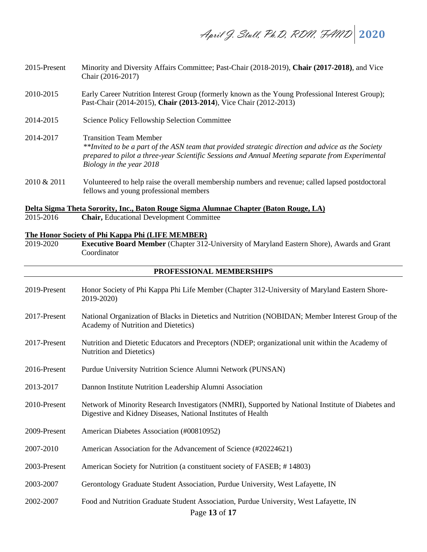- 2015-Present Minority and Diversity Affairs Committee; Past-Chair (2018-2019), **Chair (2017-2018)**, and Vice Chair (2016-2017)
- 2010-2015 Early Career Nutrition Interest Group (formerly known as the Young Professional Interest Group); Past-Chair (2014-2015), **Chair (2013-2014**), Vice Chair (2012-2013)
- 2014-2015 Science Policy Fellowship Selection Committee
- 2014-2017 Transition Team Member *\*\*Invited to be a part of the ASN team that provided strategic direction and advice as the Society prepared to pilot a three-year Scientific Sessions and Annual Meeting separate from Experimental Biology in the year 2018*
- 2010 & 2011 Volunteered to help raise the overall membership numbers and revenue; called lapsed postdoctoral fellows and young professional members

**Delta Sigma Theta Sorority, Inc., Baton Rouge Sigma Alumnae Chapter (Baton Rouge, LA)**

2015-2016 **Chair,** Educational Development Committee

### **The Honor Society of Phi Kappa Phi (LIFE MEMBER)**

2019-2020 **Executive Board Member** (Chapter 312-University of Maryland Eastern Shore), Awards and Grant Coordinator

### **PROFESSIONAL MEMBERSHIPS**

Page **13** of **17** 2019-Present Honor Society of Phi Kappa Phi Life Member (Chapter 312-University of Maryland Eastern Shore-2019-2020) 2017-Present National Organization of Blacks in Dietetics and Nutrition (NOBIDAN; Member Interest Group of the Academy of Nutrition and Dietetics) 2017-Present Nutrition and Dietetic Educators and Preceptors (NDEP; organizational unit within the Academy of Nutrition and Dietetics) 2016-Present Purdue University Nutrition Science Alumni Network (PUNSAN) 2013-2017 Dannon Institute Nutrition Leadership Alumni Association 2010-Present Network of Minority Research Investigators (NMRI), Supported by National Institute of Diabetes and Digestive and Kidney Diseases, National Institutes of Health 2009-Present American Diabetes Association (#00810952) 2007-2010 American Association for the Advancement of Science (#20224621) 2003-Present American Society for Nutrition (a constituent society of FASEB; # 14803) 2003-2007 Gerontology Graduate Student Association, Purdue University, West Lafayette, IN 2002-2007 Food and Nutrition Graduate Student Association, Purdue University, West Lafayette, IN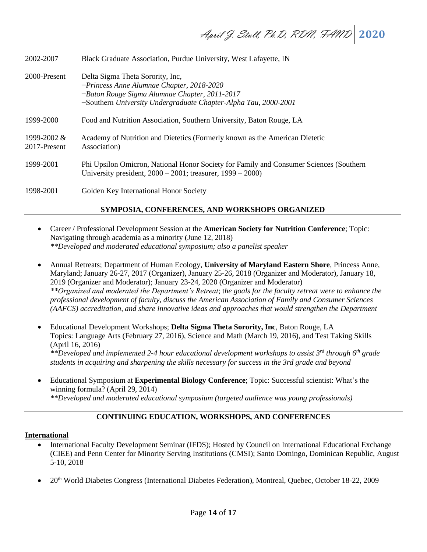| 2002-2007                   | Black Graduate Association, Purdue University, West Lafayette, IN                                                                                                                                   |
|-----------------------------|-----------------------------------------------------------------------------------------------------------------------------------------------------------------------------------------------------|
| 2000-Present                | Delta Sigma Theta Sorority, Inc.<br>$-Prineess$ Anne Alumnae Chapter, 2018-2020<br>-Baton Rouge Sigma Alumnae Chapter, 2011-2017<br>-Southern University Undergraduate Chapter-Alpha Tau, 2000-2001 |
| 1999-2000                   | Food and Nutrition Association, Southern University, Baton Rouge, LA                                                                                                                                |
| 1999-2002 &<br>2017-Present | Academy of Nutrition and Dietetics (Formerly known as the American Dietetic<br>Association)                                                                                                         |
| 1999-2001                   | Phi Upsilon Omicron, National Honor Society for Family and Consumer Sciences (Southern<br>University president, $2000 - 2001$ ; treasurer, $1999 - 2000$ )                                          |
| 1998-2001                   | Golden Key International Honor Society                                                                                                                                                              |

# **SYMPOSIA, CONFERENCES, AND WORKSHOPS ORGANIZED**

- Career / Professional Development Session at the **American Society for Nutrition Conference**; Topic: Navigating through academia as a minority (June 12, 2018) *\*\*Developed and moderated educational symposium; also a panelist speaker*
- Annual Retreats; Department of Human Ecology, **University of Maryland Eastern Shore**, Princess Anne, Maryland; January 26-27, 2017 (Organizer), January 25-26, 2018 (Organizer and Moderator), January 18, 2019 (Organizer and Moderator); January 23-24, 2020 (Organizer and Moderator) *\*\*Organized and moderated the Department's Retreat*; t*he goals for the faculty retreat were to enhance the professional development of faculty, discuss the American Association of Family and Consumer Sciences (AAFCS) accreditation, and share innovative ideas and approaches that would strengthen the Department*
- Educational Development Workshops; **Delta Sigma Theta Sorority, Inc**, Baton Rouge, LA Topics: Language Arts (February 27, 2016), Science and Math (March 19, 2016), and Test Taking Skills (April 16, 2016) *\*\*Developed and implemented 2-4 hour educational development workshops to assist 3rd through 6th grade students in acquiring and sharpening the skills necessary for success in the 3rd grade and beyond*
- Educational Symposium at **Experimental Biology Conference**; Topic: Successful scientist: What's the winning formula? (April 29, 2014) *\*\*Developed and moderated educational symposium (targeted audience was young professionals)*

# **CONTINUING EDUCATION, WORKSHOPS, AND CONFERENCES**

### **International**

- International Faculty Development Seminar (IFDS); Hosted by Council on International Educational Exchange (CIEE) and Penn Center for Minority Serving Institutions (CMSI); Santo Domingo, Dominican Republic, August 5-10, 2018
- 20th World Diabetes Congress (International Diabetes Federation), Montreal, Quebec, October 18-22, 2009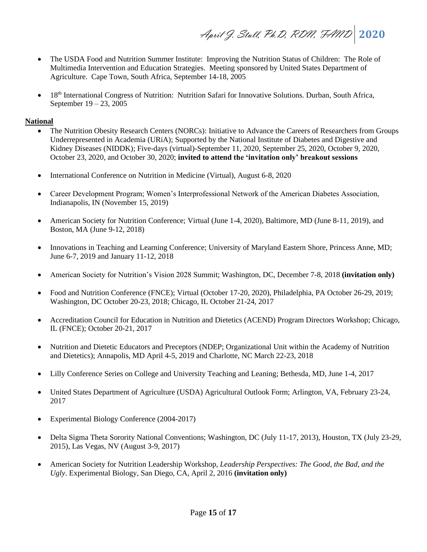April J. Stull, Ph.D, RDN, FAND **2020**

- The USDA Food and Nutrition Summer Institute: Improving the Nutrition Status of Children: The Role of Multimedia Intervention and Education Strategies. Meeting sponsored by United States Department of Agriculture. Cape Town, South Africa, September 14-18, 2005
- 18<sup>th</sup> International Congress of Nutrition: Nutrition Safari for Innovative Solutions. Durban, South Africa, September 19 – 23, 2005

### **National**

- The Nutrition Obesity Research Centers (NORCs): Initiative to Advance the Careers of Researchers from Groups Underrepresented in Academia (URiA); Supported by the National Institute of Diabetes and Digestive and Kidney Diseases (NIDDK); Five-days (virtual)-September 11, 2020, September 25, 2020, October 9, 2020, October 23, 2020, and October 30, 2020; **invited to attend the 'invitation only' breakout sessions**
- International Conference on Nutrition in Medicine (Virtual), August 6-8, 2020
- Career Development Program; Women's Interprofessional Network of the American Diabetes Association, Indianapolis, IN (November 15, 2019)
- American Society for Nutrition Conference; Virtual (June 1-4, 2020), Baltimore, MD (June 8-11, 2019), and Boston, MA (June 9-12, 2018)
- Innovations in Teaching and Learning Conference; University of Maryland Eastern Shore, Princess Anne, MD; June 6-7, 2019 and January 11-12, 2018
- American Society for Nutrition's Vision 2028 Summit; Washington, DC, December 7-8, 2018 **(invitation only)**
- Food and Nutrition Conference (FNCE); Virtual (October 17-20, 2020), Philadelphia, PA October 26-29, 2019; Washington, DC October 20-23, 2018; Chicago, IL October 21-24, 2017
- Accreditation Council for Education in Nutrition and Dietetics (ACEND) Program Directors Workshop; Chicago, IL (FNCE); October 20-21, 2017
- Nutrition and Dietetic Educators and Preceptors (NDEP; Organizational Unit within the Academy of Nutrition and Dietetics); Annapolis, MD April 4-5, 2019 and Charlotte, NC March 22-23, 2018
- Lilly Conference Series on College and University Teaching and Leaning; Bethesda, MD, June 1-4, 2017
- United States Department of Agriculture (USDA) Agricultural Outlook Form; Arlington, VA, February 23-24, 2017
- Experimental Biology Conference (2004-2017)
- Delta Sigma Theta Sorority National Conventions; Washington, DC (July 11-17, 2013), Houston, TX (July 23-29, 2015), Las Vegas, NV (August 3-9, 2017)
- American Society for Nutrition Leadership Workshop, *Leadership Perspectives: The Good, the Bad, and the Ugly*. Experimental Biology, San Diego, CA, April 2, 2016 **(invitation only)**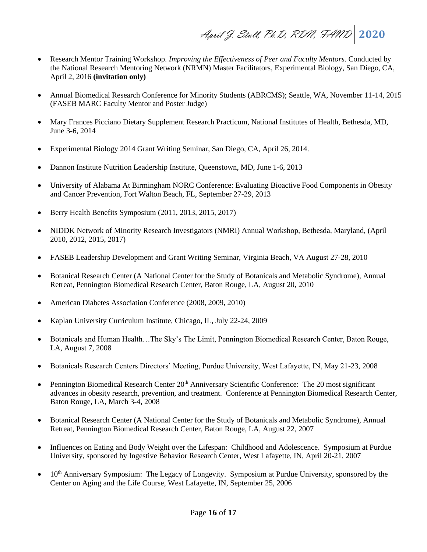April J. Stull, Ph.D, RDN, FAND **2020**

- Research Mentor Training Workshop*. Improving the Effectiveness of Peer and Faculty Mentors*. Conducted by the National Research Mentoring Network (NRMN) Master Facilitators, Experimental Biology, San Diego, CA, April 2, 2016 **(invitation only)**
- Annual Biomedical Research Conference for Minority Students (ABRCMS); Seattle, WA, November 11-14, 2015 (FASEB MARC Faculty Mentor and Poster Judge)
- Mary Frances Picciano Dietary Supplement Research Practicum, National Institutes of Health, Bethesda, MD, June 3-6, 2014
- Experimental Biology 2014 Grant Writing Seminar, San Diego, CA, April 26, 2014.
- Dannon Institute Nutrition Leadership Institute, Queenstown, MD, June 1-6, 2013
- University of Alabama At Birmingham NORC Conference: Evaluating Bioactive Food Components in Obesity and Cancer Prevention, Fort Walton Beach, FL, September 27-29, 2013
- Berry Health Benefits Symposium (2011, 2013, 2015, 2017)
- NIDDK Network of Minority Research Investigators (NMRI) Annual Workshop, Bethesda, Maryland, (April 2010, 2012, 2015, 2017)
- FASEB Leadership Development and Grant Writing Seminar, Virginia Beach, VA August 27-28, 2010
- Botanical Research Center (A National Center for the Study of Botanicals and Metabolic Syndrome), Annual Retreat, Pennington Biomedical Research Center, Baton Rouge, LA, August 20, 2010
- American Diabetes Association Conference (2008, 2009, 2010)
- Kaplan University Curriculum Institute, Chicago, IL, July 22-24, 2009
- Botanicals and Human Health…The Sky's The Limit, Pennington Biomedical Research Center, Baton Rouge, LA, August 7, 2008
- Botanicals Research Centers Directors' Meeting, Purdue University, West Lafayette, IN, May 21-23, 2008
- Pennington Biomedical Research Center 20<sup>th</sup> Anniversary Scientific Conference: The 20 most significant advances in obesity research, prevention, and treatment. Conference at Pennington Biomedical Research Center, Baton Rouge, LA, March 3-4, 2008
- Botanical Research Center (A National Center for the Study of Botanicals and Metabolic Syndrome), Annual Retreat, Pennington Biomedical Research Center, Baton Rouge, LA, August 22, 2007
- Influences on Eating and Body Weight over the Lifespan: Childhood and Adolescence. Symposium at Purdue University, sponsored by Ingestive Behavior Research Center, West Lafayette, IN, April 20-21, 2007
- $\bullet$  10<sup>th</sup> Anniversary Symposium: The Legacy of Longevity. Symposium at Purdue University, sponsored by the Center on Aging and the Life Course, West Lafayette, IN, September 25, 2006